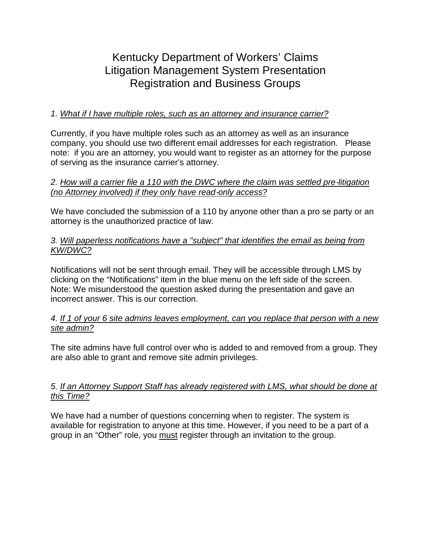# Kentucky Department of Workers' Claims Litigation Management System Presentation Registration and Business Groups

## *1. What if I have multiple roles, such as an attorney and insurance carrier?*

Currently, if you have multiple roles such as an attorney as well as an insurance company, you should use two different email addresses for each registration. Please note: if you are an attorney, you would want to register as an attorney for the purpose of serving as the insurance carrier's attorney.

### *2. How will a carrier file a 110 with the DWC where the claim was settled pre*‐*litigation (no Attorney involved) if they only have read*‐*only access?*

We have concluded the submission of a 110 by anyone other than a pro se party or an attorney is the unauthorized practice of law.

### *3. Will paperless notifications have a "subject" that identifies the email as being from KW/DWC?*

Notifications will not be sent through email. They will be accessible through LMS by clicking on the "Notifications" item in the blue menu on the left side of the screen. Note: We misunderstood the question asked during the presentation and gave an incorrect answer. This is our correction.

#### *4. If 1 of your 6 site admins leaves employment, can you replace that person with a new site admin?*

The site admins have full control over who is added to and removed from a group. They are also able to grant and remove site admin privileges.

## *5. If an Attorney Support Staff has already registered with LMS, what should be done at this Time?*

We have had a number of questions concerning when to register. The system is available for registration to anyone at this time. However, if you need to be a part of a group in an "Other" role, you must register through an invitation to the group.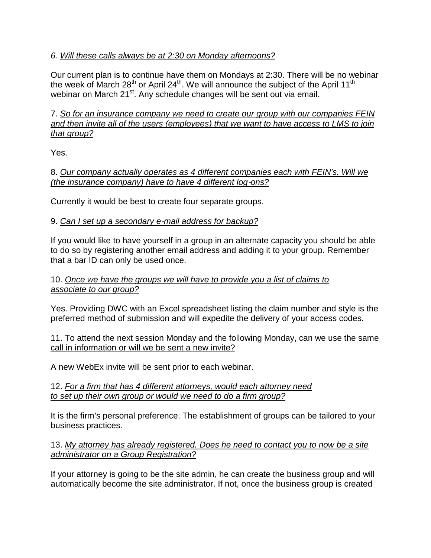# *6. Will these calls always be at 2:30 on Monday afternoons?*

Our current plan is to continue have them on Mondays at 2:30. There will be no webinar the week of March  $28<sup>th</sup>$  or April  $24<sup>th</sup>$ . We will announce the subject of the April 11<sup>th</sup> webinar on March 21<sup>st</sup>. Any schedule changes will be sent out via email.

## 7. *So for an insurance company we need to create our group with our companies FEIN and then invite all of the users (employees) that we want to have access to LMS to join that group?*

Yes.

8. *Our company actually operates as 4 different companies each with FEIN's. Will we (the insurance company) have to have 4 different log*‐*ons?*

Currently it would be best to create four separate groups.

# 9. *Can I set up a secondary e*‐*mail address for backup?*

If you would like to have yourself in a group in an alternate capacity you should be able to do so by registering another email address and adding it to your group. Remember that a bar ID can only be used once.

## 10. *Once we have the groups we will have to provide you a list of claims to associate to our group?*

Yes. Providing DWC with an Excel spreadsheet listing the claim number and style is the preferred method of submission and will expedite the delivery of your access codes.

#### 11. To attend the next session Monday and the following Monday, can we use the same call in information or will we be sent a new invite?

A new WebEx invite will be sent prior to each webinar.

#### 12. *For a firm that has 4 different attorneys, would each attorney need to set up their own group or would we need to do a firm group?*

It is the firm's personal preference. The establishment of groups can be tailored to your business practices.

# 13. *My attorney has already registered. Does he need to contact you to now be a site administrator on a Group Registration?*

If your attorney is going to be the site admin, he can create the business group and will automatically become the site administrator. If not, once the business group is created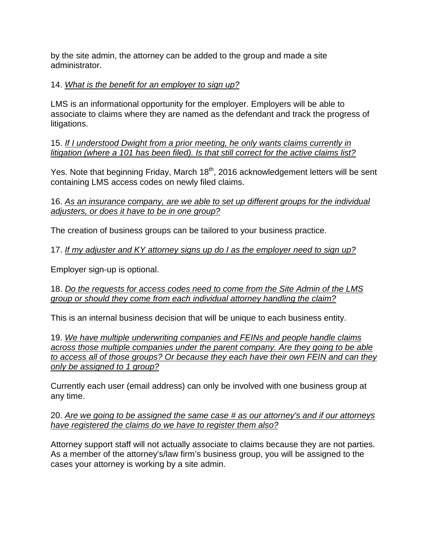by the site admin, the attorney can be added to the group and made a site administrator.

# 14. *What is the benefit for an employer to sign up?*

LMS is an informational opportunity for the employer. Employers will be able to associate to claims where they are named as the defendant and track the progress of litigations.

15. *If I understood Dwight from a prior meeting, he only wants claims currently in litigation (where a 101 has been filed). Is that still correct for the active claims list?*

Yes. Note that beginning Friday, March 18<sup>th</sup>, 2016 acknowledgement letters will be sent containing LMS access codes on newly filed claims.

16. *As an insurance company, are we able to set up different groups for the individual adjusters, or does it have to be in one group?*

The creation of business groups can be tailored to your business practice.

17. *If my adjuster and KY attorney signs up do I as the employer need to sign up?*

Employer sign-up is optional.

18. *Do the requests for access codes need to come from the Site Admin of the LMS group or should they come from each individual attorney handling the claim?*

This is an internal business decision that will be unique to each business entity.

19. *We have multiple underwriting companies and FEINs and people handle claims across those multiple companies under the parent company. Are they going to be able to access all of those groups? Or because they each have their own FEIN and can they only be assigned to 1 group?*

Currently each user (email address) can only be involved with one business group at any time.

20. *Are we going to be assigned the same case # as our attorney's and if our attorneys have registered the claims do we have to register them also?*

Attorney support staff will not actually associate to claims because they are not parties. As a member of the attorney's/law firm's business group, you will be assigned to the cases your attorney is working by a site admin.